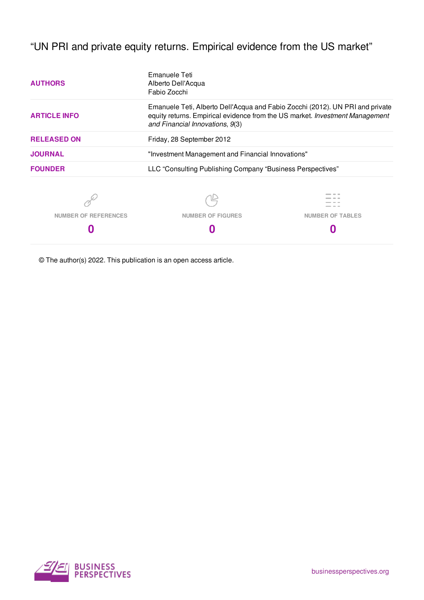"UN PRI and private equity returns. Empirical evidence from the US market"

| <b>AUTHORS</b>       | Emanuele Teti<br>Alberto Dell'Acqua<br>Fabio Zocchi                                                                                                           |                         |  |  |  |
|----------------------|---------------------------------------------------------------------------------------------------------------------------------------------------------------|-------------------------|--|--|--|
| <b>ARTICLE INFO</b>  | Emanuele Teti, Alberto Dell'Acqua and Fabio Zocchi (2012). UN PRI and private<br>equity returns. Empirical evidence from the US market. Investment Management |                         |  |  |  |
| <b>RELEASED ON</b>   | Friday, 28 September 2012                                                                                                                                     |                         |  |  |  |
| <b>JOURNAL</b>       | "Investment Management and Financial Innovations"                                                                                                             |                         |  |  |  |
| <b>FOUNDER</b>       | LLC "Consulting Publishing Company "Business Perspectives"                                                                                                    |                         |  |  |  |
|                      |                                                                                                                                                               |                         |  |  |  |
| NUMBER OF REFERENCES | <b>NUMBER OF FIGURES</b>                                                                                                                                      | <b>NUMBER OF TABLES</b> |  |  |  |
|                      |                                                                                                                                                               |                         |  |  |  |

© The author(s) 2022. This publication is an open access article.

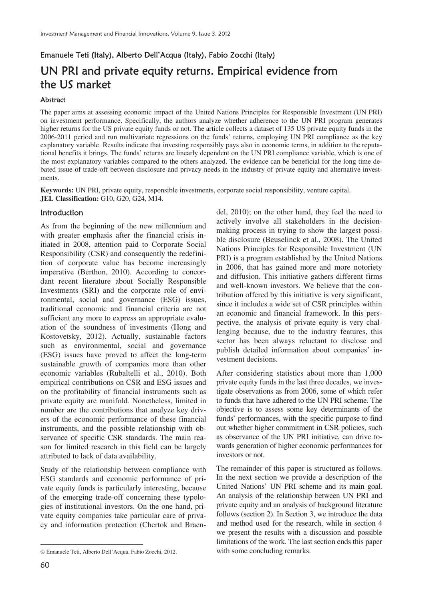# Emanuele Teti (Italy), Alberto Dell'Acqua (Italy), Fabio Zocchi (Italy) UN PRI and private equity returns. Empirical evidence from the US market

### **Abstract**

The paper aims at assessing economic impact of the United Nations Principles for Responsible Investment (UN PRI) on investment performance. Specifically, the authors analyze whether adherence to the UN PRI program generates higher returns for the US private equity funds or not. The article collects a dataset of 135 US private equity funds in the 2006-2011 period and run multivariate regressions on the funds' returns, employing UN PRI compliance as the key explanatory variable. Results indicate that investing responsibly pays also in economic terms, in addition to the reputational benefits it brings. The funds' returns are linearly dependent on the UN PRI compliance variable, which is one of the most explanatory variables compared to the others analyzed. The evidence can be beneficial for the long time debated issue of trade-off between disclosure and privacy needs in the industry of private equity and alternative investments.

**Keywords:** UN PRI, private equity, responsible investments, corporate social responsibility, venture capital. **JEL Classification:** G10, G20, G24, M14.

### Introduction

As from the beginning of the new millennium and with greater emphasis after the financial crisis initiated in 2008, attention paid to Corporate Social Responsibility (CSR) and consequently the redefinition of corporate value has become increasingly imperative (Berthon, 2010). According to concordant recent literature about Socially Responsible Investments (SRI) and the corporate role of environmental, social and governance (ESG) issues, traditional economic and financial criteria are not sufficient any more to express an appropriate evaluation of the soundness of investments (Hong and Kostovetsky, 2012). Actually, sustainable factors such as environmental, social and governance (ESG) issues have proved to affect the long-term sustainable growth of companies more than other economic variables (Rubaltelli et al., 2010). Both empirical contributions on CSR and ESG issues and on the profitability of financial instruments such as private equity are manifold. Nonetheless, limited in number are the contributions that analyze key drivers of the economic performance of these financial instruments, and the possible relationship with observance of specific CSR standards. The main reason for limited research in this field can be largely attributed to lack of data availability.

Study of the relationship between compliance with ESG standards and economic performance of private equity funds is particularly interesting, because of the emerging trade-off concerning these typologies of institutional investors. On the one hand, private equity companies take particular care of privacy and information protection (Chertok and Braendel, 2010); on the other hand, they feel the need to actively involve all stakeholders in the decisionmaking process in trying to show the largest possible disclosure (Beuselinck et al., 2008). The United Nations Principles for Responsible Investment (UN PRI) is a program established by the United Nations in 2006, that has gained more and more notoriety and diffusion. This initiative gathers different firms and well-known investors. We believe that the contribution offered by this initiative is very significant, since it includes a wide set of CSR principles within an economic and financial framework. In this perspective, the analysis of private equity is very challenging because, due to the industry features, this sector has been always reluctant to disclose and publish detailed information about companies' investment decisions.

After considering statistics about more than 1,000 private equity funds in the last three decades, we investigate observations as from 2006, some of which refer to funds that have adhered to the UN PRI scheme. The objective is to assess some key determinants of the funds' performances, with the specific purpose to find out whether higher commitment in CSR policies, such as observance of the UN PRI initiative, can drive towards generation of higher economic performances for investors or not.

The remainder of this paper is structured as follows. In the next section we provide a description of the United Nations' UN PRI scheme and its main goal. An analysis of the relationship between UN PRI and private equity and an analysis of background literature follows (section 2). In Section 3, we introduce the data and method used for the research, while in section 4 we present the results with a discussion and possible limitations of the work. The last section ends this paper with some concluding remarks.

 $\overline{a}$ 

Emanuele Teti, Alberto Dell'Acqua, Fabio Zocchi, 2012.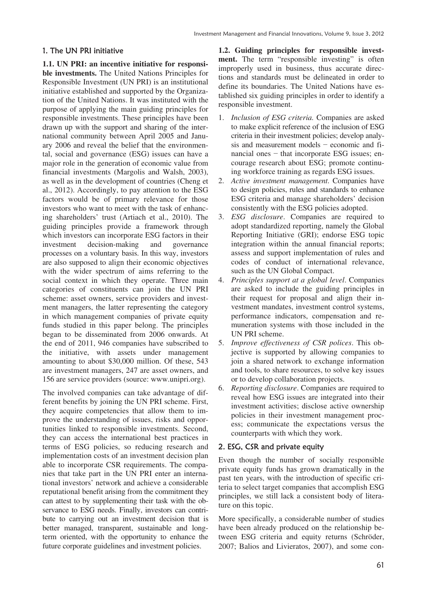## 1. The UN PRI initiative

**1.1. UN PRI: an incentive initiative for responsible investments.** The United Nations Principles for Responsible Investment (UN PRI) is an institutional initiative established and supported by the Organization of the United Nations. It was instituted with the purpose of applying the main guiding principles for responsible investments. These principles have been drawn up with the support and sharing of the international community between April 2005 and January 2006 and reveal the belief that the environmental, social and governance (ESG) issues can have a major role in the generation of economic value from financial investments (Margolis and Walsh, 2003), as well as in the development of countries (Cheng et al., 2012). Accordingly, to pay attention to the ESG factors would be of primary relevance for those investors who want to meet with the task of enhancing shareholders' trust (Artiach et al., 2010). The guiding principles provide a framework through which investors can incorporate ESG factors in their investment decision-making and governance processes on a voluntary basis. In this way, investors are also supposed to align their economic objectives with the wider spectrum of aims referring to the social context in which they operate. Three main categories of constituents can join the UN PRI scheme: asset owners, service providers and investment managers, the latter representing the category in which management companies of private equity funds studied in this paper belong. The principles began to be disseminated from 2006 onwards. At the end of 2011, 946 companies have subscribed to the initiative, with assets under management amounting to about \$30,000 million. Of these, 543 are investment managers, 247 are asset owners, and 156 are service providers (source: www.unipri.org).

The involved companies can take advantage of different benefits by joining the UN PRI scheme. First, they acquire competencies that allow them to improve the understanding of issues, risks and opportunities linked to responsible investments. Second, they can access the international best practices in terms of ESG policies, so reducing research and implementation costs of an investment decision plan able to incorporate CSR requirements. The companies that take part in the UN PRI enter an international investors' network and achieve a considerable reputational benefit arising from the commitment they can attest to by supplementing their task with the observance to ESG needs. Finally, investors can contribute to carrying out an investment decision that is better managed, transparent, sustainable and longterm oriented, with the opportunity to enhance the future corporate guidelines and investment policies.

**1.2. Guiding principles for responsible investment.** The term "responsible investing" is often improperly used in business, thus accurate directions and standards must be delineated in order to define its boundaries. The United Nations have established six guiding principles in order to identify a responsible investment.

- 1. *Inclusion of ESG criteria.* Companies are asked to make explicit reference of the inclusion of ESG criteria in their investment policies; develop analysis and measurement models  $-$  economic and financial ones  $-$  that incorporate ESG issues; encourage research about ESG; promote continuing workforce training as regards ESG issues.
- 2. *Active investment management*. Companies have to design policies, rules and standards to enhance ESG criteria and manage shareholders' decision consistently with the ESG policies adopted.
- 3. *ESG disclosure*. Companies are required to adopt standardized reporting, namely the Global Reporting Initiative (GRI); endorse ESG topic integration within the annual financial reports; assess and support implementation of rules and codes of conduct of international relevance, such as the UN Global Compact.
- 4. *Principles support at a global level*. Companies are asked to include the guiding principles in their request for proposal and align their investment mandates, investment control systems, performance indicators, compensation and remuneration systems with those included in the UN PRI scheme.
- 5. *Improve effectiveness of CSR polices*. This objective is supported by allowing companies to join a shared network to exchange information and tools, to share resources, to solve key issues or to develop collaboration projects.
- 6. *Reporting disclosure*. Companies are required to reveal how ESG issues are integrated into their investment activities; disclose active ownership policies in their investment management process; communicate the expectations versus the counterparts with which they work.

## 2. ESG, CSR and private equity

Even though the number of socially responsible private equity funds has grown dramatically in the past ten years, with the introduction of specific criteria to select target companies that accomplish ESG principles, we still lack a consistent body of literature on this topic.

More specifically, a considerable number of studies have been already produced on the relationship between ESG criteria and equity returns (Schröder, 2007; Balios and Livieratos, 2007), and some con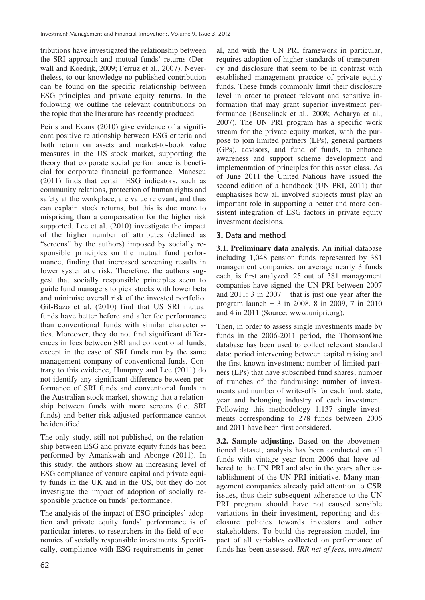tributions have investigated the relationship between the SRI approach and mutual funds' returns (Derwall and Koedijk, 2009; Ferruz et al., 2007). Nevertheless, to our knowledge no published contribution can be found on the specific relationship between ESG principles and private equity returns. In the following we outline the relevant contributions on the topic that the literature has recently produced.

Peiris and Evans (2010) give evidence of a significant positive relationship between ESG criteria and both return on assets and market-to-book value measures in the US stock market, supporting the theory that corporate social performance is beneficial for corporate financial performance. Manescu (2011) finds that certain ESG indicators, such as community relations, protection of human rights and safety at the workplace, are value relevant, and thus can explain stock returns, but this is due more to mispricing than a compensation for the higher risk supported. Lee et al. (2010) investigate the impact of the higher number of attributes (defined as "screens" by the authors) imposed by socially responsible principles on the mutual fund performance, finding that increased screening results in lower systematic risk. Therefore, the authors suggest that socially responsible principles seem to guide fund managers to pick stocks with lower beta and minimise overall risk of the invested portfolio. Gil-Bazo et al. (2010) find that US SRI mutual funds have better before and after fee performance than conventional funds with similar characteristics. Moreover, they do not find significant differences in fees between SRI and conventional funds, except in the case of SRI funds run by the same management company of conventional funds. Contrary to this evidence, Humprey and Lee (2011) do not identify any significant difference between performance of SRI funds and conventional funds in the Australian stock market, showing that a relationship between funds with more screens (i.e. SRI funds) and better risk-adjusted performance cannot be identified.

The only study, still not published, on the relationship between ESG and private equity funds has been performed by Amankwah and Abonge (2011). In this study, the authors show an increasing level of ESG compliance of venture capital and private equity funds in the UK and in the US, but they do not investigate the impact of adoption of socially responsible practice on funds' performance.

The analysis of the impact of ESG principles' adoption and private equity funds' performance is of particular interest to researchers in the field of economics of socially responsible investments. Specifically, compliance with ESG requirements in general, and with the UN PRI framework in particular, requires adoption of higher standards of transparency and disclosure that seem to be in contrast with established management practice of private equity funds. These funds commonly limit their disclosure level in order to protect relevant and sensitive information that may grant superior investment performance (Beuselinck et al., 2008; Acharya et al., 2007). The UN PRI program has a specific work stream for the private equity market, with the purpose to join limited partners (LPs), general partners (GPs), advisors, and fund of funds, to enhance awareness and support scheme development and implementation of principles for this asset class. As of June 2011 the United Nations have issued the second edition of a handbook (UN PRI, 2011) that emphasises how all involved subjects must play an important role in supporting a better and more consistent integration of ESG factors in private equity investment decisions.

## 3. Data and method

**3.1. Preliminary data analysis.** An initial database including 1,048 pension funds represented by 381 management companies, on average nearly 3 funds each, is first analyzed. 25 out of 381 management companies have signed the UN PRI between 2007 and 2011: 3 in  $2007 -$  that is just one year after the program launch  $-3$  in 2008, 8 in 2009, 7 in 2010 and 4 in 2011 (Source: www.unipri.org).

Then, in order to assess single investments made by funds in the 2006-2011 period, the ThomsonOne database has been used to collect relevant standard data: period intervening between capital raising and the first known investment; number of limited partners (LPs) that have subscribed fund shares; number of tranches of the fundraising: number of investments and number of write-offs for each fund; state, year and belonging industry of each investment. Following this methodology 1,137 single investments corresponding to 278 funds between 2006 and 2011 have been first considered.

**3.2. Sample adjusting.** Based on the abovementioned dataset, analysis has been conducted on all funds with vintage year from 2006 that have adhered to the UN PRI and also in the years after establishment of the UN PRI initiative. Many management companies already paid attention to CSR issues, thus their subsequent adherence to the UN PRI program should have not caused sensible variations in their investment, reporting and disclosure policies towards investors and other stakeholders. To build the regression model, impact of all variables collected on performance of funds has been assessed. *IRR net of fees*, *investment*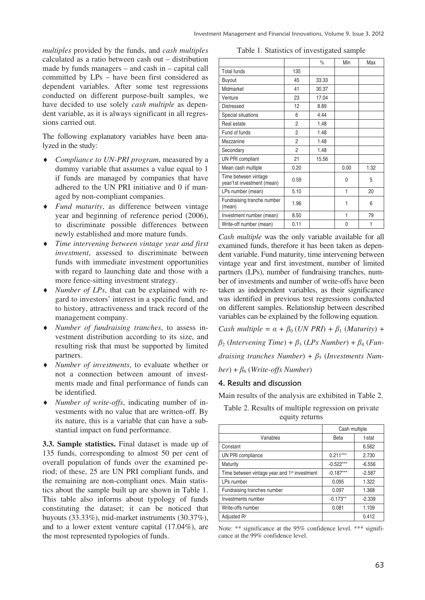*multiples* provided by the funds, and *cash multiples* calculated as a ratio between cash out – distribution made by funds managers – and cash in – capital call committed by LPs – have been first considered as dependent variables. After some test regressions conducted on different purpose-built samples, we have decided to use solely *cash multiple* as dependent variable, as it is always significant in all regressions carried out.

The following explanatory variables have been analyzed in the study:

- i *Compliance to UN-PRI program*, measured by a dummy variable that assumes a value equal to 1 if funds are managed by companies that have adhered to the UN PRI initiative and 0 if managed by non-compliant companies.
- i *Fund maturity*, as difference between vintage year and beginning of reference period (2006), to discriminate possible differences between newly established and more mature funds.
- i *Time intervening between vintage year and first investment*, assessed to discriminate between funds with immediate investment opportunities with regard to launching date and those with a more fence-sitting investment strategy.
- *Number of LPs*, that can be explained with regard to investors' interest in a specific fund, and to history, attractiveness and track record of the management company.
- i *Number of fundraising tranches*, to assess investment distribution according to its size, and resulting risk that must be supported by limited partners.
- i *Number of investments*, to evaluate whether or not a connection between amount of investments made and final performance of funds can be identified.
- i *Number of write-offs*, indicating number of investments with no value that are written-off. By its nature, this is a variable that can have a substantial impact on fund performance.

**3.3. Sample statistics.** Final dataset is made up of 135 funds, corresponding to almost 50 per cent of overall population of funds over the examined period; of these, 25 are UN PRI compliant funds, and the remaining are non-compliant ones. Main statistics about the sample built up are shown in Table 1. This table also informs about typology of funds constituting the dataset; it can be noticed that buyouts (33.33%), mid-market instruments (30.37%), and to a lower extent venture capital (17.04%), are the most represented typologies of funds.

| Table 1. Statistics of investigated sample |  |  |
|--------------------------------------------|--|--|
|--------------------------------------------|--|--|

|                                                    |                | $\frac{0}{0}$ | Min  | Max  |
|----------------------------------------------------|----------------|---------------|------|------|
| <b>Total funds</b>                                 | 135            |               |      |      |
| Buyout                                             | 45             | 33.33         |      |      |
| Midmarket                                          | 41             | 30.37         |      |      |
| Venture                                            | 23             | 17.04         |      |      |
| <b>Distressed</b>                                  | 12             | 8.89          |      |      |
| Special situations                                 | 6              | 4.44          |      |      |
| Real estate                                        | 2              | 1.48          |      |      |
| Fund of funds                                      | $\overline{2}$ | 1.48          |      |      |
| Mezzanine                                          | 2              | 1.48          |      |      |
| Secondary                                          | 2              | 1.48          |      |      |
| UN PRI compliant                                   | 21             | 15.56         |      |      |
| Mean cash multiple                                 | 0.20           |               | 0.00 | 1.32 |
| Time between vintage<br>year/1st investment (mean) | 0.59           |               | N    | 5    |
| LPs number (mean)                                  | 5.10           |               | 1    | 20   |
| Fundraising tranche number<br>(mean)               | 1.96           |               | 1    | 6    |
| Investment number (mean)                           | 8.50           |               | 1    | 79   |
| Write-off number (mean)                            | 0.11           |               | 0    |      |

*Cash multiple* was the only variable available for all examined funds, therefore it has been taken as dependent variable. Fund maturity, time intervening between vintage year and first investment, number of limited partners (LPs), number of fundraising tranches, number of investments and number of write-offs have been taken as independent variables, as their significance was identified in previous test regressions conducted on different samples. Relationship between described variables can be explained by the following equation.

*Cash multiple* =  $\alpha + \beta_0$  (*UN PRI*) +  $\beta_1$  (*Maturity*) +  $\beta_2$  (*Intervening Time*) +  $\beta_3$  (*LPs Number*) +  $\beta_4$  (*Fundraising tranches Number*) +  $\beta$ <sub>5</sub> (*Investments Num* $ber) + \beta_6$  (*Write-offs Number*)

## 4. Results and discussion

Main results of the analysis are exhibited in Table 2.

Table 2. Results of multiple regression on private equity returns

|                                                          | Cash multiple |          |
|----------------------------------------------------------|---------------|----------|
| Variables                                                | Beta          | t-stat   |
| Constant                                                 |               | 6.562    |
| UN PRI compliance                                        | $0.211***$    | 2.730    |
| Maturity                                                 | $-0.522***$   | $-6.556$ |
| Time between vintage year and 1 <sup>st</sup> investment | $-0.187***$   | $-2.587$ |
| LPs number                                               | 0.095         | 1.322    |
| Fundraising tranches number                              | 0.097         | 1.368    |
| Investments number                                       | $-0.173**$    | $-2.339$ |
| Write-offs number                                        | 0.081         | 1.109    |
| Adjusted R <sup>2</sup>                                  |               | 0.412    |

Note: \*\* significance at the 95% confidence level. \*\*\* significance at the 99% confidence level.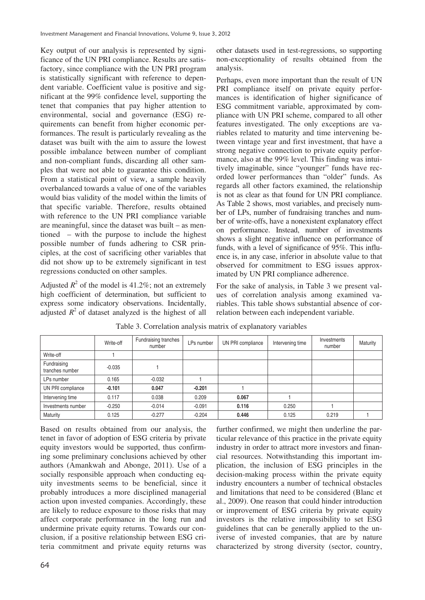Key output of our analysis is represented by significance of the UN PRI compliance. Results are satisfactory, since compliance with the UN PRI program is statistically significant with reference to dependent variable. Coefficient value is positive and significant at the 99% confidence level, supporting the tenet that companies that pay higher attention to environmental, social and governance (ESG) requirements can benefit from higher economic performances. The result is particularly revealing as the dataset was built with the aim to assure the lowest possible imbalance between number of compliant and non-compliant funds, discarding all other samples that were not able to guarantee this condition. From a statistical point of view, a sample heavily overbalanced towards a value of one of the variables would bias validity of the model within the limits of that specific variable. Therefore, results obtained with reference to the UN PRI compliance variable are meaningful, since the dataset was built – as mentioned – with the purpose to include the highest possible number of funds adhering to CSR principles, at the cost of sacrificing other variables that did not show up to be extremely significant in test regressions conducted on other samples.

Adjusted  $R^2$  of the model is 41.2%; not an extremely high coefficient of determination, but sufficient to express some indicatory observations. Incidentally, adjusted  $R^2$  of dataset analyzed is the highest of all other datasets used in test-regressions, so supporting non-exceptionality of results obtained from the analysis.

Perhaps, even more important than the result of UN PRI compliance itself on private equity performances is identification of higher significance of ESG commitment variable, approximated by compliance with UN PRI scheme, compared to all other features investigated. The only exceptions are variables related to maturity and time intervening between vintage year and first investment, that have a strong negative connection to private equity performance, also at the 99% level. This finding was intuitively imaginable, since "younger" funds have recorded lower performances than "older" funds. As regards all other factors examined, the relationship is not as clear as that found for UN PRI compliance. As Table 2 shows, most variables, and precisely number of LPs, number of fundraising tranches and number of write-offs, have a nonexistent explanatory effect on performance. Instead, number of investments shows a slight negative influence on performance of funds, with a level of significance of 95%. This influence is, in any case, inferior in absolute value to that observed for commitment to ESG issues approximated by UN PRI compliance adherence.

For the sake of analysis, in Table 3 we present values of correlation analysis among examined variables. This table shows substantial absence of correlation between each independent variable.

|                                | Write-off | Fundraising tranches<br>number | LPs number | UN PRI compliance | Intervening time | Investments<br>number | Maturity |
|--------------------------------|-----------|--------------------------------|------------|-------------------|------------------|-----------------------|----------|
| Write-off                      |           |                                |            |                   |                  |                       |          |
| Fundraising<br>tranches number | $-0.035$  |                                |            |                   |                  |                       |          |
| LPs number                     | 0.165     | $-0.032$                       |            |                   |                  |                       |          |
| UN PRI compliance              | $-0.101$  | 0.047                          | $-0.201$   |                   |                  |                       |          |
| Intervening time               | 0.117     | 0.038                          | 0.209      | 0.067             |                  |                       |          |
| Investments number             | $-0.250$  | $-0.014$                       | $-0.091$   | 0.116             | 0.250            |                       |          |
| Maturity                       | 0.125     | $-0.277$                       | $-0.204$   | 0.446             | 0.125            | 0.219                 |          |

Table 3. Correlation analysis matrix of explanatory variables

Based on results obtained from our analysis, the tenet in favor of adoption of ESG criteria by private equity investors would be supported, thus confirming some preliminary conclusions achieved by other authors (Amankwah and Abonge, 2011). Use of a socially responsible approach when conducting equity investments seems to be beneficial, since it probably introduces a more disciplined managerial action upon invested companies. Accordingly, these are likely to reduce exposure to those risks that may affect corporate performance in the long run and undermine private equity returns. Towards our conclusion, if a positive relationship between ESG criteria commitment and private equity returns was

further confirmed, we might then underline the particular relevance of this practice in the private equity industry in order to attract more investors and financial resources. Notwithstanding this important implication, the inclusion of ESG principles in the decision-making process within the private equity industry encounters a number of technical obstacles and limitations that need to be considered (Blanc et al., 2009). One reason that could hinder introduction or improvement of ESG criteria by private equity investors is the relative impossibility to set ESG guidelines that can be generally applied to the universe of invested companies, that are by nature characterized by strong diversity (sector, country,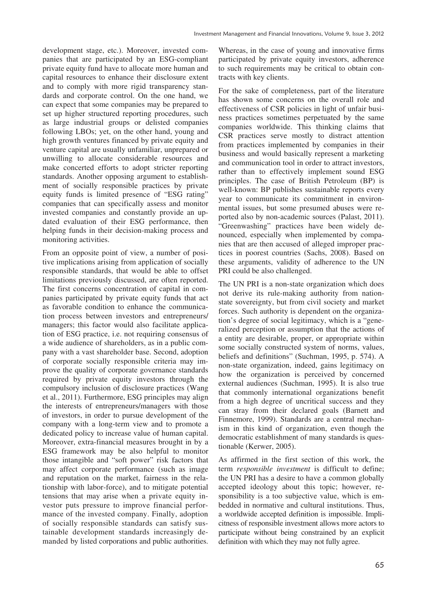development stage, etc.). Moreover, invested companies that are participated by an ESG-compliant private equity fund have to allocate more human and capital resources to enhance their disclosure extent and to comply with more rigid transparency standards and corporate control. On the one hand, we can expect that some companies may be prepared to set up higher structured reporting procedures, such as large industrial groups or delisted companies following LBOs; yet, on the other hand, young and high growth ventures financed by private equity and venture capital are usually unfamiliar, unprepared or unwilling to allocate considerable resources and make concerted efforts to adopt stricter reporting standards. Another opposing argument to establishment of socially responsible practices by private equity funds is limited presence of "ESG rating" companies that can specifically assess and monitor invested companies and constantly provide an updated evaluation of their ESG performance, then helping funds in their decision-making process and monitoring activities.

From an opposite point of view, a number of positive implications arising from application of socially responsible standards, that would be able to offset limitations previously discussed, are often reported. The first concerns concentration of capital in companies participated by private equity funds that act as favorable condition to enhance the communication process between investors and entrepreneurs/ managers; this factor would also facilitate application of ESG practice, i.e. not requiring consensus of a wide audience of shareholders, as in a public company with a vast shareholder base. Second, adoption of corporate socially responsible criteria may improve the quality of corporate governance standards required by private equity investors through the compulsory inclusion of disclosure practices (Wang et al., 2011). Furthermore, ESG principles may align the interests of entrepreneurs/managers with those of investors, in order to pursue development of the company with a long-term view and to promote a dedicated policy to increase value of human capital. Moreover, extra-financial measures brought in by a ESG framework may be also helpful to monitor those intangible and "soft power" risk factors that may affect corporate performance (such as image and reputation on the market, fairness in the relationship with labor-force), and to mitigate potential tensions that may arise when a private equity investor puts pressure to improve financial performance of the invested company. Finally, adoption of socially responsible standards can satisfy sustainable development standards increasingly demanded by listed corporations and public authorities.

Whereas, in the case of young and innovative firms participated by private equity investors, adherence to such requirements may be critical to obtain contracts with key clients.

For the sake of completeness, part of the literature has shown some concerns on the overall role and effectiveness of CSR policies in light of unfair business practices sometimes perpetuated by the same companies worldwide. This thinking claims that CSR practices serve mostly to distract attention from practices implemented by companies in their business and would basically represent a marketing and communication tool in order to attract investors, rather than to effectively implement sound ESG principles. The case of British Petroleum (BP) is well-known: BP publishes sustainable reports every year to communicate its commitment in environmental issues, but some presumed abuses were reported also by non-academic sources (Palast, 2011). "Greenwashing" practices have been widely denounced, especially when implemented by companies that are then accused of alleged improper practices in poorest countries (Sachs, 2008). Based on these arguments, validity of adherence to the UN PRI could be also challenged.

The UN PRI is a non-state organization which does not derive its rule-making authority from nationstate sovereignty, but from civil society and market forces. Such authority is dependent on the organization's degree of social legitimacy, which is a "generalized perception or assumption that the actions of a entity are desirable, proper, or appropriate within some socially constructed system of norms, values, beliefs and definitions" (Suchman, 1995, p. 574). A non-state organization, indeed, gains legitimacy on how the organization is perceived by concerned external audiences (Suchman, 1995). It is also true that commonly international organizations benefit from a high degree of uncritical success and they can stray from their declared goals (Barnett and Finnemore, 1999). Standards are a central mechanism in this kind of organization, even though the democratic establishment of many standards is questionable (Kerwer, 2005).

As affirmed in the first section of this work, the term *responsible investment* is difficult to define; the UN PRI has a desire to have a common globally accepted ideology about this topic; however, responsibility is a too subjective value, which is embedded in normative and cultural institutions. Thus, a worldwide accepted definition is impossible. Implicitness of responsible investment allows more actors to participate without being constrained by an explicit definition with which they may not fully agree.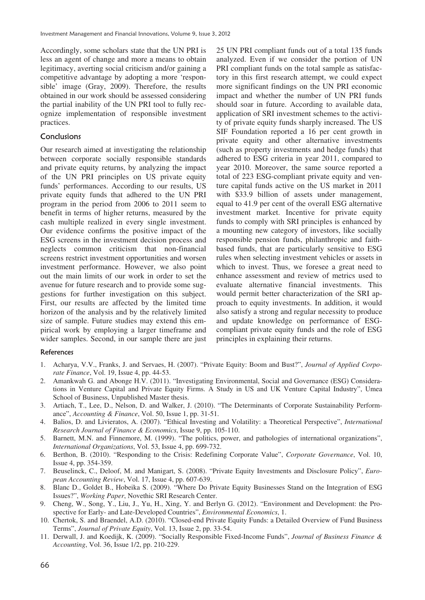Accordingly, some scholars state that the UN PRI is less an agent of change and more a means to obtain legitimacy, averting social criticism and/or gaining a competitive advantage by adopting a more 'responsible' image (Gray, 2009). Therefore, the results obtained in our work should be assessed considering the partial inability of the UN PRI tool to fully recognize implementation of responsible investment practices.

## **Conclusions**

Our research aimed at investigating the relationship between corporate socially responsible standards and private equity returns, by analyzing the impact of the UN PRI principles on US private equity funds' performances. According to our results, US private equity funds that adhered to the UN PRI program in the period from 2006 to 2011 seem to benefit in terms of higher returns, measured by the cash multiple realized in every single investment. Our evidence confirms the positive impact of the ESG screens in the investment decision process and neglects common criticism that non-financial screens restrict investment opportunities and worsen investment performance. However, we also point out the main limits of our work in order to set the avenue for future research and to provide some suggestions for further investigation on this subject. First, our results are affected by the limited time horizon of the analysis and by the relatively limited size of sample. Future studies may extend this empirical work by employing a larger timeframe and wider samples. Second, in our sample there are just 25 UN PRI compliant funds out of a total 135 funds analyzed. Even if we consider the portion of UN PRI compliant funds on the total sample as satisfactory in this first research attempt, we could expect more significant findings on the UN PRI economic impact and whether the number of UN PRI funds should soar in future. According to available data, application of SRI investment schemes to the activity of private equity funds sharply increased. The US SIF Foundation reported a 16 per cent growth in private equity and other alternative investments (such as property investments and hedge funds) that adhered to ESG criteria in year 2011, compared to year 2010. Moreover, the same source reported a total of 223 ESG-compliant private equity and venture capital funds active on the US market in 2011 with \$33.9 billion of assets under management, equal to 41.9 per cent of the overall ESG alternative investment market. Incentive for private equity funds to comply with SRI principles is enhanced by a mounting new category of investors, like socially responsible pension funds, philanthropic and faithbased funds, that are particularly sensitive to ESG rules when selecting investment vehicles or assets in which to invest. Thus, we foresee a great need to enhance assessment and review of metrics used to evaluate alternative financial investments. This would permit better characterization of the SRI approach to equity investments. In addition, it would also satisfy a strong and regular necessity to produce and update knowledge on performance of ESGcompliant private equity funds and the role of ESG principles in explaining their returns.

#### References

- 1. Acharya, V.V., Franks, J. and Servaes, H. (2007). "Private Equity: Boom and Bust?", *Journal of Applied Corporate Finance*, Vol. 19, Issue 4, pp. 44-53.
- 2. Amankwah G. and Abonge H.V. (2011). "Investigating Environmental, Social and Governance (ESG) Considerations in Venture Capital and Private Equity Firms. A Study in US and UK Venture Capital Industry", Umea School of Business, Unpublished Master thesis.
- 3. Artiach, T., Lee, D., Nelson, D. and Walker, J. (2010). "The Determinants of Corporate Sustainability Performance", *Accounting & Finance*, Vol. 50, Issue 1, pp. 31-51.
- 4. Balios, D. and Livieratos, A. (2007). "Ethical Investing and Volatility: a Theoretical Perspective", *International Research Journal of Finance & Economics*, Issue 9, pp. 105-110.
- 5. Barnett, M.N. and Finnemore, M. (1999). "The politics, power, and pathologies of international organizations", *International Organizations*, Vol. 53, Issue 4, pp. 699-732.
- 6. Berthon, B. (2010). "Responding to the Crisis: Redefining Corporate Value", *Corporate Governance*, Vol. 10, Issue 4, pp. 354-359.
- 7. Beuselinck, C., Deloof, M. and Manigart, S. (2008). "Private Equity Investments and Disclosure Policy", *European Accounting Review*, Vol. 17, Issue 4, pp. 607-639.
- 8. Blanc D., Goldet B., Hobeika S. (2009). "Where Do Private Equity Businesses Stand on the Integration of ESG Issues?", *Working Paper*, Novethic SRI Research Center.
- 9. Cheng, W., Song, Y., Liu, J., Yu, H., Xing, Y. and Berlyn G. (2012). "Environment and Development: the Prospective for Early- and Late-Developed Countries", *Environmental Economics*, 1.
- 10. Chertok, S. and Braendel, A.D. (2010). "Closed-end Private Equity Funds: a Detailed Overview of Fund Business Terms", *Journal of Private Equity*, Vol. 13, Issue 2, pp. 33-54.
- 11. Derwall, J. and Koedijk, K. (2009). "Socially Responsible Fixed-Income Funds", *Journal of Business Finance & Accounting*, Vol. 36, Issue 1/2, pp. 210-229.